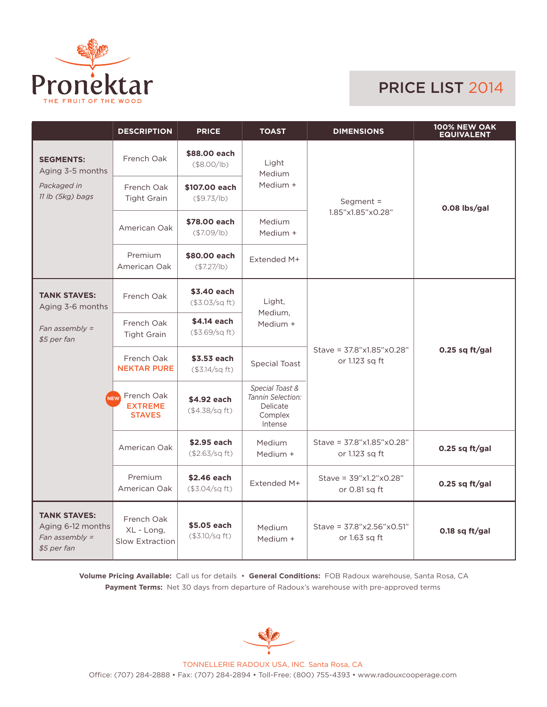

## PRICE LIST 2014

|                                                                             | <b>DESCRIPTION</b>                                   | <b>PRICE</b>                  | <b>TOAST</b>                                                           | <b>DIMENSIONS</b>                             | <b>100% NEW OAK</b><br><b>EQUIVALENT</b> |  |
|-----------------------------------------------------------------------------|------------------------------------------------------|-------------------------------|------------------------------------------------------------------------|-----------------------------------------------|------------------------------------------|--|
| <b>SEGMENTS:</b><br>Aging 3-5 months<br>Packaged in<br>11 lb (5kg) bags     | French Oak                                           | \$88,00 each<br>(\$8.00/lb)   | Light<br>Medium                                                        | Segment $=$                                   | 0.08 lbs/gal                             |  |
|                                                                             | French Oak<br><b>Tight Grain</b>                     | \$107.00 each<br>(\$9.73/lb)  | Medium +                                                               |                                               |                                          |  |
|                                                                             | American Oak                                         | \$78,00 each<br>(\$7.09/lb)   | 1.85"x1.85"x0.28"<br>Medium<br>Medium +                                |                                               |                                          |  |
|                                                                             | Premium<br>American Oak                              | \$80.00 each<br>(\$7.27/lb)   | Extended M+                                                            |                                               |                                          |  |
| <b>TANK STAVES:</b><br>Aging 3-6 months                                     | French Oak                                           | \$3.40 each<br>(\$3.03/sq ft) | Light,<br>Medium,                                                      |                                               | $0.25$ sq ft/gal                         |  |
| Fan assembly $=$<br>\$5 per fan                                             | French Oak<br><b>Tight Grain</b>                     | \$4.14 each<br>(\$3.69/sq ft) | Medium +                                                               | Stave = 37.8"x1.85"x0.28"<br>or 1.123 sq ft   |                                          |  |
|                                                                             | French Oak<br><b>NEKTAR PURE</b>                     | \$3.53 each<br>(\$3.14/sq ft) | <b>Special Toast</b>                                                   |                                               |                                          |  |
|                                                                             | French Oak<br>NFW<br><b>EXTREME</b><br><b>STAVES</b> | \$4.92 each<br>(\$4.38/sq ft) | Special Toast &<br>Tannin Selection:<br>Delicate<br>Complex<br>Intense |                                               |                                          |  |
|                                                                             | American Oak                                         | \$2.95 each<br>(\$2.63/sq ft) | Medium<br>Medium +                                                     | Stave = 37.8"x1.85"x0.28"<br>or 1.123 sq ft   | 0.25 sq ft/gal                           |  |
|                                                                             | Premium<br>American Oak                              | \$2.46 each<br>(\$3.04/sq ft) | Extended M+                                                            | Stave = $39"x1.2"x0.28"$<br>or 0.81 sq ft     | 0.25 sq $ft/gal$                         |  |
| <b>TANK STAVES:</b><br>Aging 6-12 months<br>Fan assembly $=$<br>\$5 per fan | French Oak<br>XL - Long,<br><b>Slow Extraction</b>   | \$5.05 each<br>(\$3.10/sq ft) | Medium<br>Medium +                                                     | Stave = $37.8$ "x2.56"x0.51"<br>or 1.63 sq ft | 0.18 sq ft/gal                           |  |

**Volume Pricing Available:** Call us for details • **General Conditions:** FOB Radoux warehouse, Santa Rosa, CA **Payment Terms:** Net 30 days from departure of Radoux's warehouse with pre-approved terms